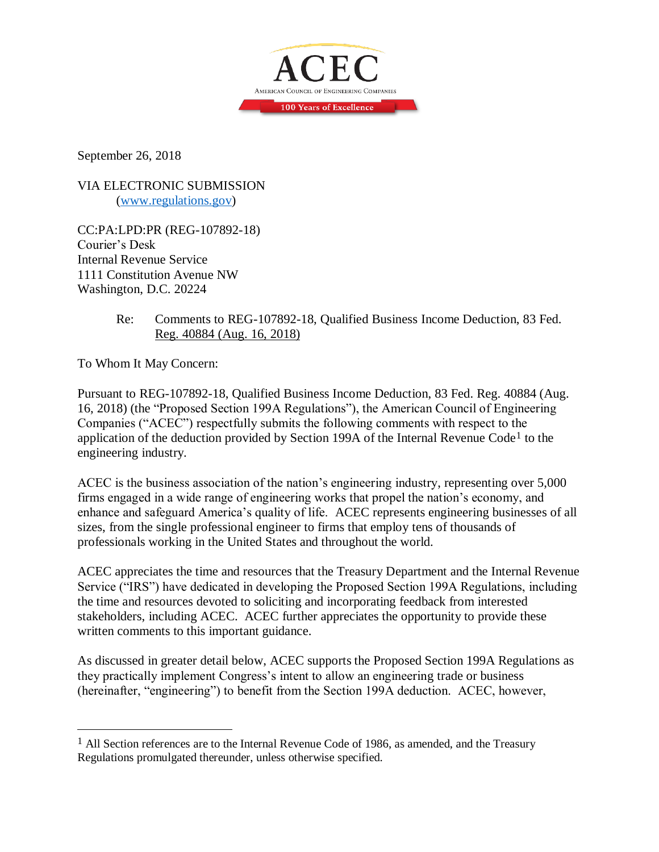

September 26, 2018

VIA ELECTRONIC SUBMISSION [\(www.regulations.gov\)](http://www.regulations.gov/)

CC:PA:LPD:PR (REG-107892-18) Courier's Desk Internal Revenue Service 1111 Constitution Avenue NW Washington, D.C. 20224

> Re: Comments to REG-107892-18, Qualified Business Income Deduction, 83 Fed. Reg. 40884 (Aug. 16, 2018)

To Whom It May Concern:

 $\overline{a}$ 

Pursuant to REG-107892-18, Qualified Business Income Deduction, 83 Fed. Reg. 40884 (Aug. 16, 2018) (the "Proposed Section 199A Regulations"), the American Council of Engineering Companies ("ACEC") respectfully submits the following comments with respect to the application of the deduction provided by Section 199A of the Internal Revenue Code<sup>1</sup> to the engineering industry.

ACEC is the business association of the nation's engineering industry, representing over 5,000 firms engaged in a wide range of engineering works that propel the nation's economy, and enhance and safeguard America's quality of life. ACEC represents engineering businesses of all sizes, from the single professional engineer to firms that employ tens of thousands of professionals working in the United States and throughout the world.

ACEC appreciates the time and resources that the Treasury Department and the Internal Revenue Service ("IRS") have dedicated in developing the Proposed Section 199A Regulations, including the time and resources devoted to soliciting and incorporating feedback from interested stakeholders, including ACEC. ACEC further appreciates the opportunity to provide these written comments to this important guidance.

As discussed in greater detail below, ACEC supports the Proposed Section 199A Regulations as they practically implement Congress's intent to allow an engineering trade or business (hereinafter, "engineering") to benefit from the Section 199A deduction. ACEC, however,

<sup>&</sup>lt;sup>1</sup> All Section references are to the Internal Revenue Code of 1986, as amended, and the Treasury Regulations promulgated thereunder, unless otherwise specified.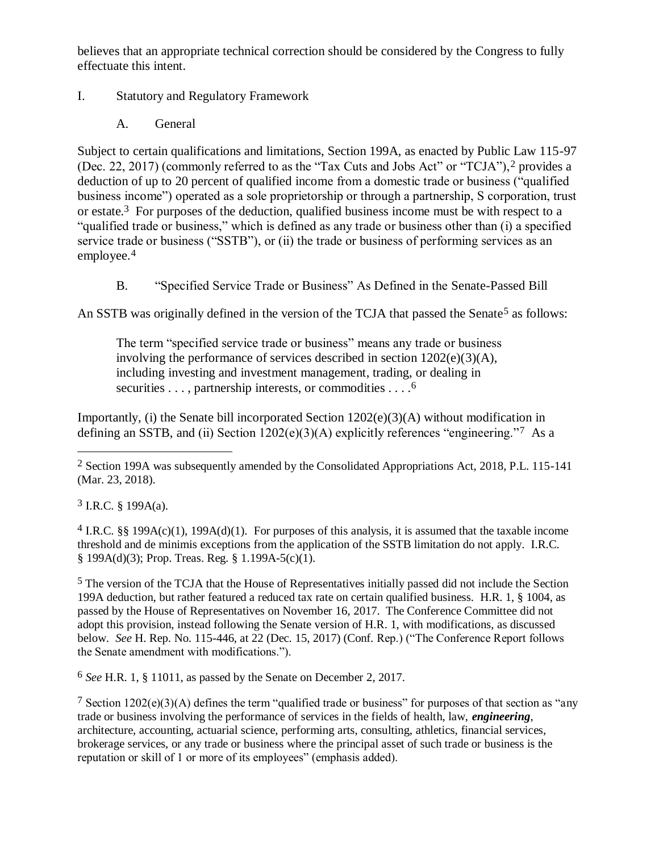believes that an appropriate technical correction should be considered by the Congress to fully effectuate this intent.

## I. Statutory and Regulatory Framework

A. General

Subject to certain qualifications and limitations, Section 199A, as enacted by Public Law 115-97 (Dec. 22, 2017) (commonly referred to as the "Tax Cuts and Jobs Act" or "TCJA"),2 provides a deduction of up to 20 percent of qualified income from a domestic trade or business ("qualified business income") operated as a sole proprietorship or through a partnership, S corporation, trust or estate.3 For purposes of the deduction, qualified business income must be with respect to a "qualified trade or business," which is defined as any trade or business other than (i) a specified service trade or business ("SSTB"), or (ii) the trade or business of performing services as an employee.<sup>4</sup>

B. "Specified Service Trade or Business" As Defined in the Senate-Passed Bill

An SSTB was originally defined in the version of the TCJA that passed the Senate<sup>5</sup> as follows:

The term "specified service trade or business" means any trade or business involving the performance of services described in section 1202(e)(3)(A), including investing and investment management, trading, or dealing in securities . . . , partnership interests, or commodities . . . . <sup>6</sup>

Importantly, (i) the Senate bill incorporated Section  $1202(e)(3)(A)$  without modification in defining an SSTB, and (ii) Section  $1202(e)(3)(A)$  explicitly references "engineering."<sup>7</sup> As a

 $3$  I.R.C. § 199A(a).

 $\overline{a}$ 

<sup>4</sup> I.R.C. §§ 199A(c)(1), 199A(d)(1). For purposes of this analysis, it is assumed that the taxable income threshold and de minimis exceptions from the application of the SSTB limitation do not apply. I.R.C. § 199A(d)(3); Prop. Treas. Reg. § 1.199A-5(c)(1).

5 The version of the TCJA that the House of Representatives initially passed did not include the Section 199A deduction, but rather featured a reduced tax rate on certain qualified business. H.R. 1, § 1004, as passed by the House of Representatives on November 16, 2017. The Conference Committee did not adopt this provision, instead following the Senate version of H.R. 1, with modifications, as discussed below. *See* H. Rep. No. 115-446, at 22 (Dec. 15, 2017) (Conf. Rep.) ("The Conference Report follows the Senate amendment with modifications.").

6 *See* H.R. 1, § 11011, as passed by the Senate on December 2, 2017.

<sup>7</sup> Section 1202(e)(3)(A) defines the term "qualified trade or business" for purposes of that section as "any trade or business involving the performance of services in the fields of health, law, *engineering*, architecture, accounting, actuarial science, performing arts, consulting, athletics, financial services, brokerage services, or any trade or business where the principal asset of such trade or business is the reputation or skill of 1 or more of its employees" (emphasis added).

<sup>2</sup> Section 199A was subsequently amended by the Consolidated Appropriations Act, 2018, P.L. 115-141 (Mar. 23, 2018).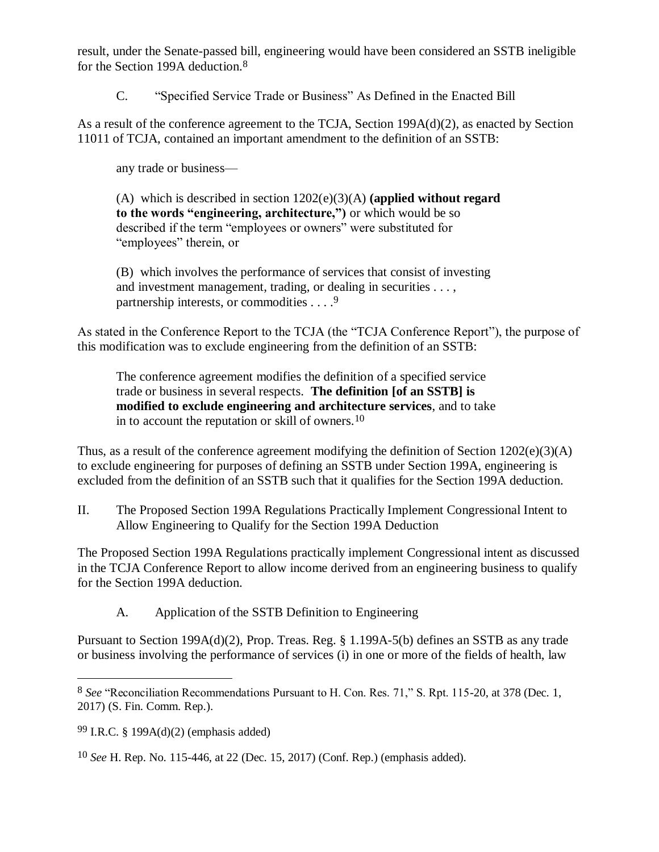result, under the Senate-passed bill, engineering would have been considered an SSTB ineligible for the Section 199A deduction.8

C. "Specified Service Trade or Business" As Defined in the Enacted Bill

As a result of the conference agreement to the TCJA, Section 199A(d)(2), as enacted by Section 11011 of TCJA, contained an important amendment to the definition of an SSTB:

any trade or business—

(A) which is described in section 1202(e)(3)(A) **(applied without regard to the words "engineering, architecture,")** or which would be so described if the term "employees or owners" were substituted for "employees" therein, or

(B) which involves the performance of services that consist of investing and investment management, trading, or dealing in securities . . . , partnership interests, or commodities . . . .<sup>9</sup>

As stated in the Conference Report to the TCJA (the "TCJA Conference Report"), the purpose of this modification was to exclude engineering from the definition of an SSTB:

The conference agreement modifies the definition of a specified service trade or business in several respects. **The definition [of an SSTB] is modified to exclude engineering and architecture services**, and to take in to account the reputation or skill of owners.10

Thus, as a result of the conference agreement modifying the definition of Section  $1202(e)(3)(A)$ to exclude engineering for purposes of defining an SSTB under Section 199A, engineering is excluded from the definition of an SSTB such that it qualifies for the Section 199A deduction.

II. The Proposed Section 199A Regulations Practically Implement Congressional Intent to Allow Engineering to Qualify for the Section 199A Deduction

The Proposed Section 199A Regulations practically implement Congressional intent as discussed in the TCJA Conference Report to allow income derived from an engineering business to qualify for the Section 199A deduction.

A. Application of the SSTB Definition to Engineering

Pursuant to Section 199A(d)(2), Prop. Treas. Reg. § 1.199A-5(b) defines an SSTB as any trade or business involving the performance of services (i) in one or more of the fields of health, law

99 I.R.C. § 199A(d)(2) (emphasis added)

<sup>8</sup> *See* "Reconciliation Recommendations Pursuant to H. Con. Res. 71," S. Rpt. 115-20, at 378 (Dec. 1, 2017) (S. Fin. Comm. Rep.).

<sup>10</sup> *See* H. Rep. No. 115-446, at 22 (Dec. 15, 2017) (Conf. Rep.) (emphasis added).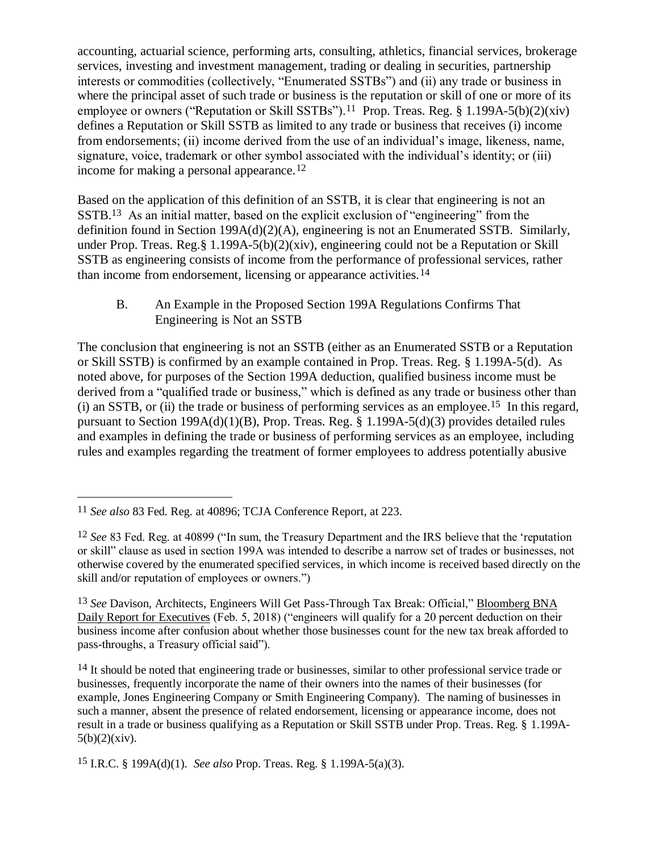accounting, actuarial science, performing arts, consulting, athletics, financial services, brokerage services, investing and investment management, trading or dealing in securities, partnership interests or commodities (collectively, "Enumerated SSTBs") and (ii) any trade or business in where the principal asset of such trade or business is the reputation or skill of one or more of its employee or owners ("Reputation or Skill SSTBs").<sup>11</sup> Prop. Treas. Reg. § 1.199A-5(b)(2)(xiv) defines a Reputation or Skill SSTB as limited to any trade or business that receives (i) income from endorsements; (ii) income derived from the use of an individual's image, likeness, name, signature, voice, trademark or other symbol associated with the individual's identity; or (iii) income for making a personal appearance.<sup>12</sup>

Based on the application of this definition of an SSTB, it is clear that engineering is not an SSTB.13 As an initial matter, based on the explicit exclusion of "engineering" from the definition found in Section 199A(d)(2)(A), engineering is not an Enumerated SSTB. Similarly, under Prop. Treas. Reg.§ 1.199A-5(b)(2)(xiv), engineering could not be a Reputation or Skill SSTB as engineering consists of income from the performance of professional services, rather than income from endorsement, licensing or appearance activities.14

B. An Example in the Proposed Section 199A Regulations Confirms That Engineering is Not an SSTB

The conclusion that engineering is not an SSTB (either as an Enumerated SSTB or a Reputation or Skill SSTB) is confirmed by an example contained in Prop. Treas. Reg. § 1.199A-5(d). As noted above, for purposes of the Section 199A deduction, qualified business income must be derived from a "qualified trade or business," which is defined as any trade or business other than (i) an SSTB, or (ii) the trade or business of performing services as an employee.<sup>15</sup> In this regard, pursuant to Section 199A(d)(1)(B), Prop. Treas. Reg. § 1.199A-5(d)(3) provides detailed rules and examples in defining the trade or business of performing services as an employee, including rules and examples regarding the treatment of former employees to address potentially abusive

<sup>11</sup> *See also* 83 Fed. Reg. at 40896; TCJA Conference Report, at 223.

<sup>12</sup> *See* 83 Fed. Reg. at 40899 ("In sum, the Treasury Department and the IRS believe that the 'reputation or skill" clause as used in section 199A was intended to describe a narrow set of trades or businesses, not otherwise covered by the enumerated specified services, in which income is received based directly on the skill and/or reputation of employees or owners.")

<sup>13</sup> *See* Davison, Architects, Engineers Will Get Pass-Through Tax Break: Official," Bloomberg BNA Daily Report for Executives (Feb. 5, 2018) ("engineers will qualify for a 20 percent deduction on their business income after confusion about whether those businesses count for the new tax break afforded to pass-throughs, a Treasury official said").

<sup>&</sup>lt;sup>14</sup> It should be noted that engineering trade or businesses, similar to other professional service trade or businesses, frequently incorporate the name of their owners into the names of their businesses (for example, Jones Engineering Company or Smith Engineering Company). The naming of businesses in such a manner, absent the presence of related endorsement, licensing or appearance income, does not result in a trade or business qualifying as a Reputation or Skill SSTB under Prop. Treas. Reg. § 1.199A- $5(b)(2)(xiv).$ 

<sup>15</sup> I.R.C. § 199A(d)(1). *See also* Prop. Treas. Reg. § 1.199A-5(a)(3).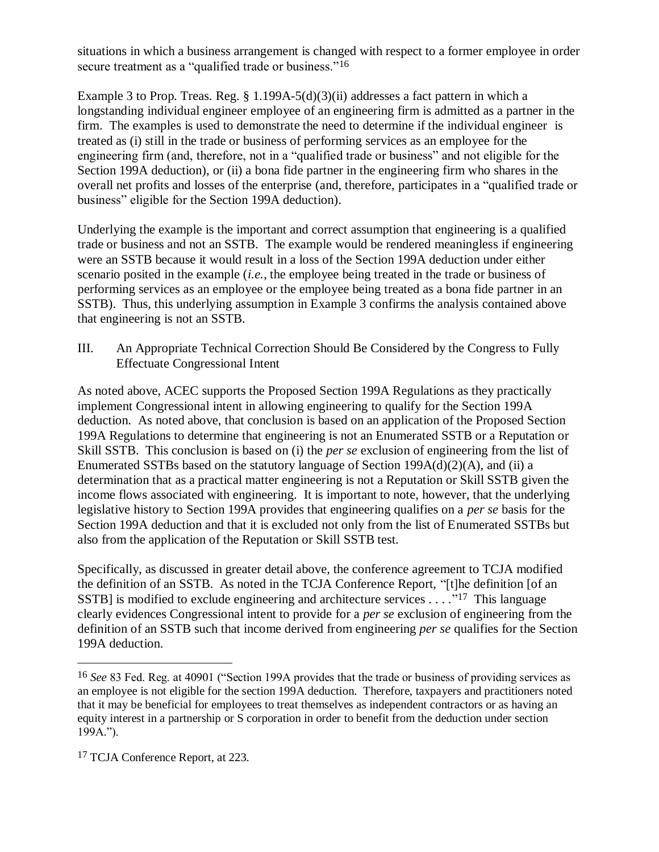situations in which a business arrangement is changed with respect to a former employee in order secure treatment as a "qualified trade or business."<sup>16</sup>

Example 3 to Prop. Treas. Reg. § 1.199A-5(d)(3)(ii) addresses a fact pattern in which a longstanding individual engineer employee of an engineering firm is admitted as a partner in the firm. The examples is used to demonstrate the need to determine if the individual engineer is treated as (i) still in the trade or business of performing services as an employee for the engineering firm (and, therefore, not in a "qualified trade or business" and not eligible for the Section 199A deduction), or (ii) a bona fide partner in the engineering firm who shares in the overall net profits and losses of the enterprise (and, therefore, participates in a "qualified trade or business" eligible for the Section 199A deduction).

Underlying the example is the important and correct assumption that engineering is a qualified trade or business and not an SSTB. The example would be rendered meaningless if engineering were an SSTB because it would result in a loss of the Section 199A deduction under either scenario posited in the example (*i.e.*, the employee being treated in the trade or business of performing services as an employee or the employee being treated as a bona fide partner in an SSTB). Thus, this underlying assumption in Example 3 confirms the analysis contained above that engineering is not an SSTB.

III. An Appropriate Technical Correction Should Be Considered by the Congress to Fully Effectuate Congressional Intent

As noted above, ACEC supports the Proposed Section 199A Regulations as they practically implement Congressional intent in allowing engineering to qualify for the Section 199A deduction. As noted above, that conclusion is based on an application of the Proposed Section 199A Regulations to determine that engineering is not an Enumerated SSTB or a Reputation or Skill SSTB. This conclusion is based on (i) the *per se* exclusion of engineering from the list of Enumerated SSTBs based on the statutory language of Section 199A(d)(2)(A), and (ii) a determination that as a practical matter engineering is not a Reputation or Skill SSTB given the income flows associated with engineering. It is important to note, however, that the underlying legislative history to Section 199A provides that engineering qualifies on a *per se* basis for the Section 199A deduction and that it is excluded not only from the list of Enumerated SSTBs but also from the application of the Reputation or Skill SSTB test.

Specifically, as discussed in greater detail above, the conference agreement to TCJA modified the definition of an SSTB. As noted in the TCJA Conference Report, "[t]he definition [of an SSTB] is modified to exclude engineering and architecture services  $\dots$ ."<sup>17</sup> This language clearly evidences Congressional intent to provide for a *per se* exclusion of engineering from the definition of an SSTB such that income derived from engineering *per se* qualifies for the Section 199A deduction.

<sup>16</sup> *See* 83 Fed. Reg. at 40901 ("Section 199A provides that the trade or business of providing services as an employee is not eligible for the section 199A deduction. Therefore, taxpayers and practitioners noted that it may be beneficial for employees to treat themselves as independent contractors or as having an equity interest in a partnership or S corporation in order to benefit from the deduction under section 199A.").

<sup>17</sup> TCJA Conference Report, at 223.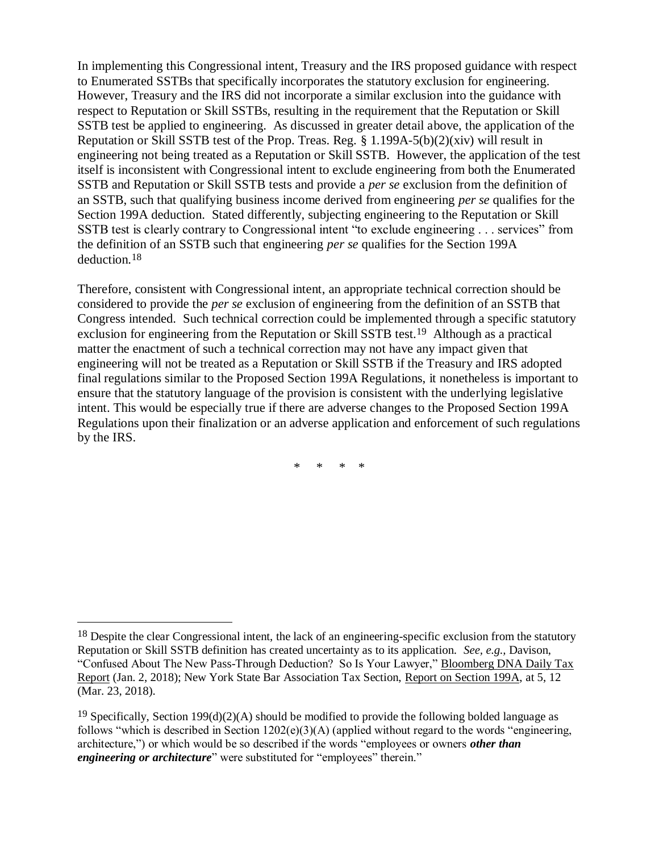In implementing this Congressional intent, Treasury and the IRS proposed guidance with respect to Enumerated SSTBs that specifically incorporates the statutory exclusion for engineering. However, Treasury and the IRS did not incorporate a similar exclusion into the guidance with respect to Reputation or Skill SSTBs, resulting in the requirement that the Reputation or Skill SSTB test be applied to engineering. As discussed in greater detail above, the application of the Reputation or Skill SSTB test of the Prop. Treas. Reg.  $\S 1.199A-5(b)(2)(xiv)$  will result in engineering not being treated as a Reputation or Skill SSTB. However, the application of the test itself is inconsistent with Congressional intent to exclude engineering from both the Enumerated SSTB and Reputation or Skill SSTB tests and provide a *per se* exclusion from the definition of an SSTB, such that qualifying business income derived from engineering *per se* qualifies for the Section 199A deduction. Stated differently, subjecting engineering to the Reputation or Skill SSTB test is clearly contrary to Congressional intent "to exclude engineering . . . services" from the definition of an SSTB such that engineering *per se* qualifies for the Section 199A deduction.18

Therefore, consistent with Congressional intent, an appropriate technical correction should be considered to provide the *per se* exclusion of engineering from the definition of an SSTB that Congress intended. Such technical correction could be implemented through a specific statutory exclusion for engineering from the Reputation or Skill SSTB test.19 Although as a practical matter the enactment of such a technical correction may not have any impact given that engineering will not be treated as a Reputation or Skill SSTB if the Treasury and IRS adopted final regulations similar to the Proposed Section 199A Regulations, it nonetheless is important to ensure that the statutory language of the provision is consistent with the underlying legislative intent. This would be especially true if there are adverse changes to the Proposed Section 199A Regulations upon their finalization or an adverse application and enforcement of such regulations by the IRS.

\* \* \* \*

<sup>&</sup>lt;sup>18</sup> Despite the clear Congressional intent, the lack of an engineering-specific exclusion from the statutory Reputation or Skill SSTB definition has created uncertainty as to its application. *See, e.g.,* Davison, "Confused About The New Pass-Through Deduction? So Is Your Lawyer," Bloomberg DNA Daily Tax Report (Jan. 2, 2018); New York State Bar Association Tax Section, Report on Section 199A, at 5, 12 (Mar. 23, 2018).

<sup>&</sup>lt;sup>19</sup> Specifically, Section 199(d)(2)(A) should be modified to provide the following bolded language as follows "which is described in Section 1202(e)(3)(A) (applied without regard to the words "engineering, architecture,") or which would be so described if the words "employees or owners *other than engineering or architecture*" were substituted for "employees" therein."